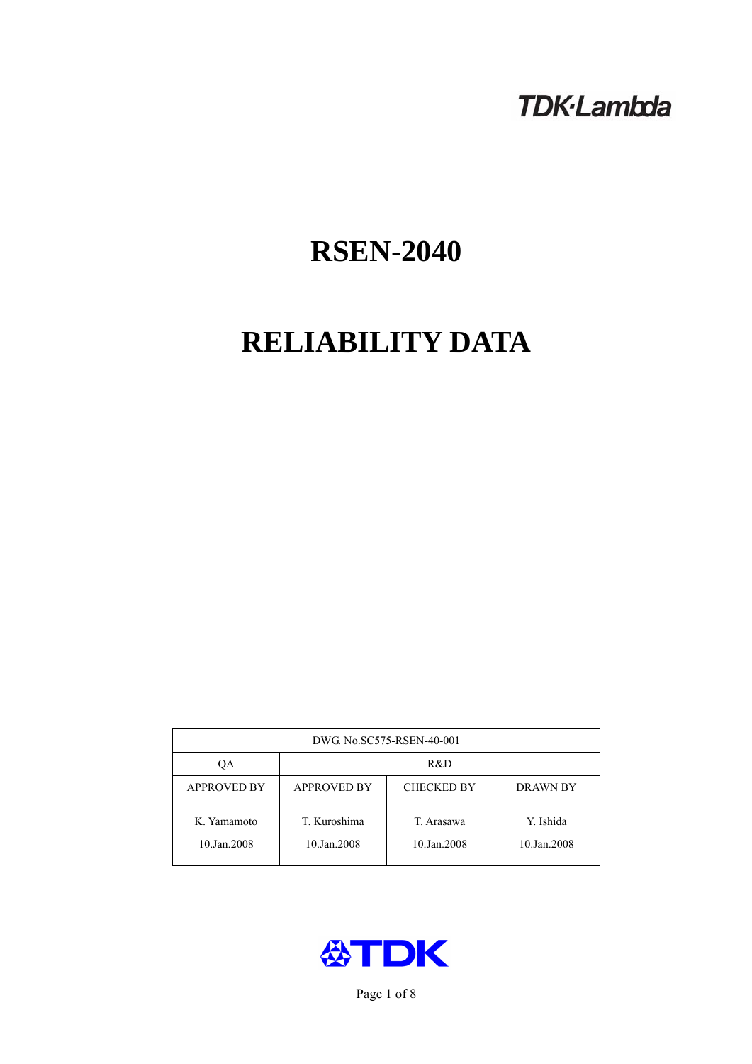# **TDK-Lambda**

# **RSEN-2040**

# **RELIABILITY DATA**

| DWG No.SC575-RSEN-40-001   |                                                            |                           |                          |  |  |
|----------------------------|------------------------------------------------------------|---------------------------|--------------------------|--|--|
| QA                         | R&D                                                        |                           |                          |  |  |
| <b>APPROVED BY</b>         | <b>APPROVED BY</b><br><b>CHECKED BY</b><br><b>DRAWN BY</b> |                           |                          |  |  |
| K. Yamamoto<br>10.Jan.2008 | T. Kuroshima<br>10.Jan.2008                                | T. Arasawa<br>10.Jan.2008 | Y. Ishida<br>10.Jan.2008 |  |  |



Page 1 of 8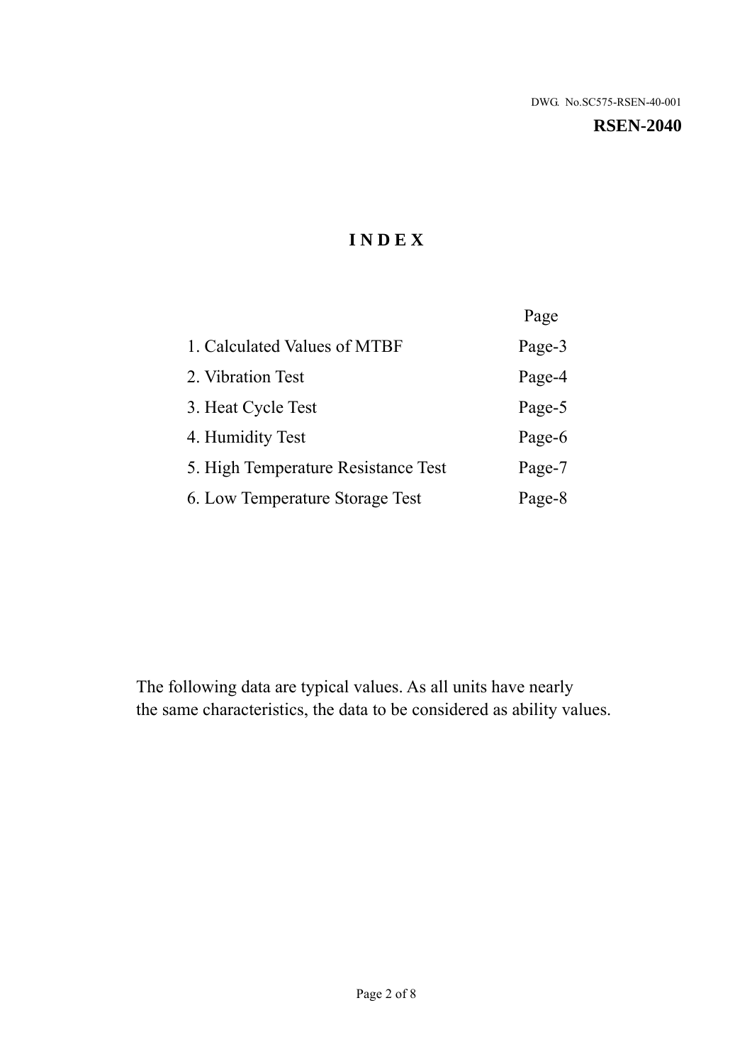#### **RSEN-2040**

# **I N D E X**

|                                     | Page   |
|-------------------------------------|--------|
| 1. Calculated Values of MTBF        | Page-3 |
| 2. Vibration Test                   | Page-4 |
| 3. Heat Cycle Test                  | Page-5 |
| 4. Humidity Test                    | Page-6 |
| 5. High Temperature Resistance Test | Page-7 |
| 6. Low Temperature Storage Test     | Page-8 |

The following data are typical values. As all units have nearly the same characteristics, the data to be considered as ability values.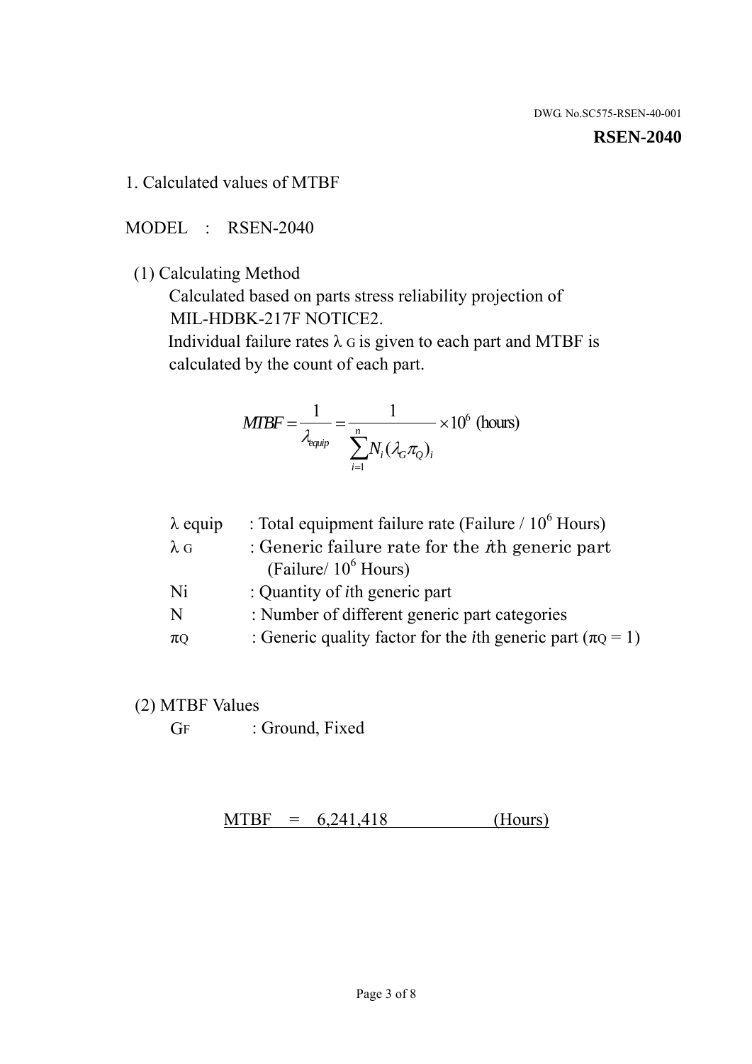#### **RSEN-2040**

1. Calculated values of MTBF

MODEL : RSEN-2040

(1) Calculating Method

 Calculated based on parts stress reliability projection of MIL-HDBK-217F NOTICE2.

Individual failure rates  $\lambda$  G is given to each part and MTBF is calculated by the count of each part.

$$
MIBF = \frac{1}{\lambda_{\text{equip}}} = \frac{1}{\sum_{i=1}^{n} N_i (\lambda_G \pi_Q)_i} \times 10^6 \text{ (hours)}
$$

| $\lambda$ equip | : Total equipment failure rate (Failure $/ 10^6$ Hours)                   |
|-----------------|---------------------------------------------------------------------------|
| $\lambda$ G     | : Generic failure rate for the $\hbar$ generic part                       |
|                 | (Failure/ $10^6$ Hours)                                                   |
| Ni              | : Quantity of <i>i</i> th generic part                                    |
| N               | : Number of different generic part categories                             |
| $\pi$ Q         | : Generic quality factor for the <i>i</i> th generic part ( $\pi Q = 1$ ) |

- (2) MTBF Values
	- GF : Ground, Fixed

 $MTBF = 6,241,418$  (Hours)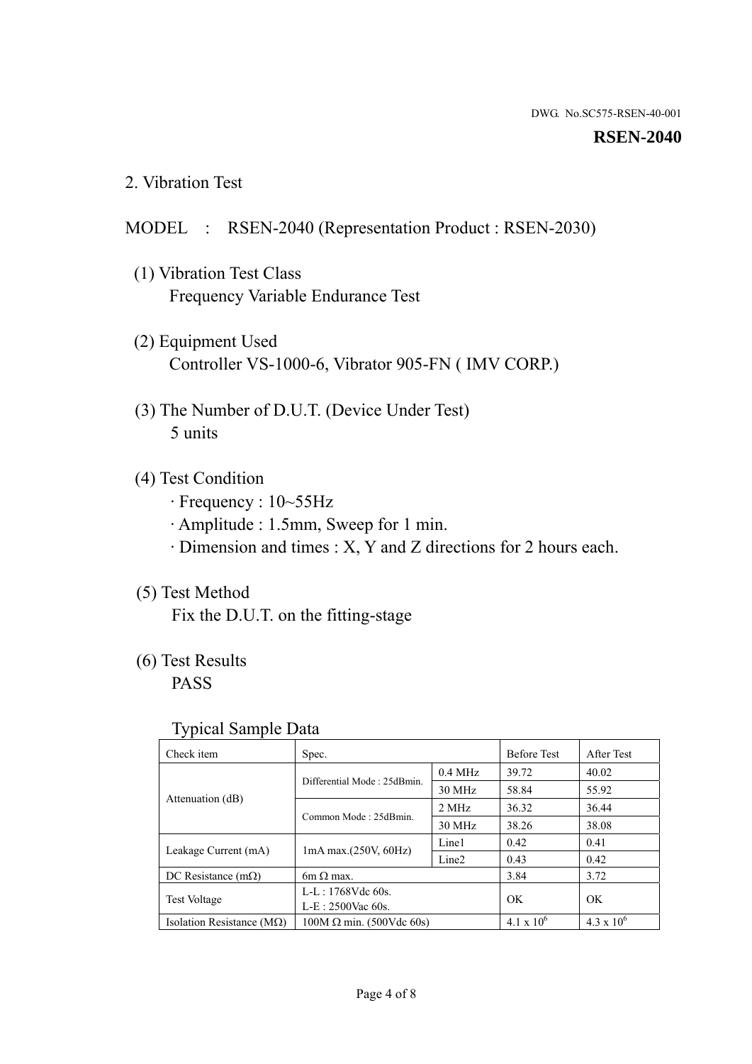#### **RSEN-2040**

2. Vibration Test

# MODEL : RSEN-2040 (Representation Product : RSEN-2030)

- (1) Vibration Test Class Frequency Variable Endurance Test
- (2) Equipment Used Controller VS-1000-6, Vibrator 905-FN ( IMV CORP.)
- (3) The Number of D.U.T. (Device Under Test) 5 units
- (4) Test Condition
	- · Frequency : 10~55Hz
	- · Amplitude : 1.5mm, Sweep for 1 min.
	- · Dimension and times : X, Y and Z directions for 2 hours each.

# (5) Test Method

Fix the D.U.T. on the fitting-stage

# (6) Test Results

PASS

#### Typical Sample Data

| . .                                |                                 |                   |                     |                   |
|------------------------------------|---------------------------------|-------------------|---------------------|-------------------|
| Check item                         | Spec.                           |                   | <b>Before Test</b>  | After Test        |
|                                    | Differential Mode: 25dBmin.     | $0.4$ MHz         | 39.72               | 40.02             |
|                                    |                                 | 30 MHz            | 58.84               | 55.92             |
| Attenuation (dB)                   | Common Mode: 25dBmin.           | 2 MHz             | 36.32               | 36.44             |
|                                    |                                 | 30 MHz            | 38.26               | 38.08             |
| Leakage Current (mA)               | $1mA$ max. $(250V, 60Hz)$       | Line1             | 0.42                | 0.41              |
|                                    |                                 | Line <sub>2</sub> | 0.43                | 0.42              |
| DC Resistance $(m\Omega)$          | 6m $\Omega$ max.                |                   | 3.84                | 3.72              |
| <b>Test Voltage</b>                | $L-L: 1768Vdc$ 60s.             |                   | OK.                 | OK.               |
|                                    | $L-E$ : 2500Vac 60s.            |                   |                     |                   |
| Isolation Resistance ( $M\Omega$ ) | $100M \Omega$ min. (500Vdc 60s) |                   | $4.1 \times 10^{6}$ | $4.3 \times 10^6$ |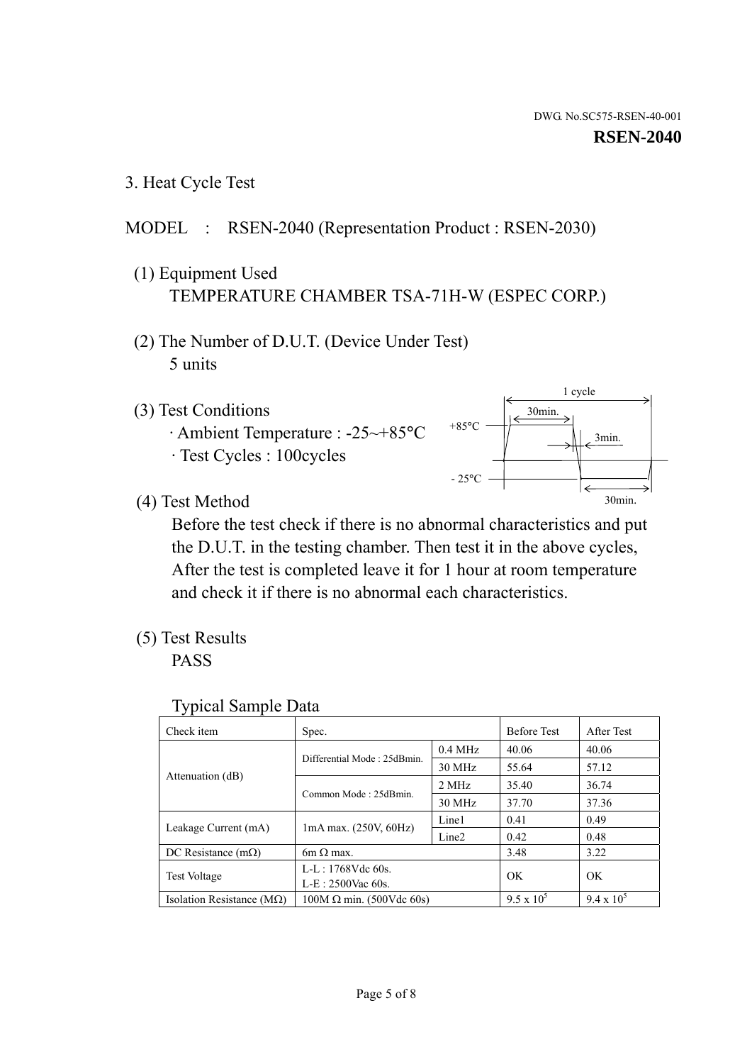3. Heat Cycle Test

# MODEL : RSEN-2040 (Representation Product : RSEN-2030)

- (1) Equipment Used TEMPERATURE CHAMBER TSA-71H-W (ESPEC CORP.)
- (2) The Number of D.U.T. (Device Under Test) 5 units
- (3) Test Conditions
	- · Ambient Temperature : -25~+85°C · Test Cycles : 100cycles



(4) Test Method

 Before the test check if there is no abnormal characteristics and put the D.U.T. in the testing chamber. Then test it in the above cycles, After the test is completed leave it for 1 hour at room temperature and check it if there is no abnormal each characteristics.

(5) Test Results

PASS

| <b>Typical Sample Data</b> |  |  |
|----------------------------|--|--|
|----------------------------|--|--|

| Check item                         | Spec.                           |                   | <b>Before Test</b> | After Test        |
|------------------------------------|---------------------------------|-------------------|--------------------|-------------------|
|                                    |                                 | $0.4$ MHz         | 40.06              | 40.06             |
|                                    | Differential Mode: 25dBmin.     | 30 MHz            | 55.64              | 57.12             |
| Attenuation (dB)                   | Common Mode: 25dBmin.           | 2 MHz             | 35.40              | 36.74             |
|                                    |                                 | $30$ MHz          | 37.70              | 37.36             |
| Leakage Current (mA)               | $1mA$ max. $(250V, 60Hz)$       | Line1             | 0.41               | 0.49              |
|                                    |                                 | Line <sub>2</sub> | 0.42               | 0.48              |
| DC Resistance $(m\Omega)$          | $6m \Omega$ max.                |                   | 3.48               | 3.22              |
| <b>Test Voltage</b>                | L-L: 1768Vdc 60s.               |                   | OK                 | OK                |
|                                    | $L-E: 2500$ Vac 60s.            |                   |                    |                   |
| Isolation Resistance ( $M\Omega$ ) | $100M \Omega$ min. (500Vdc 60s) |                   | $9.5 \times 10^5$  | $9.4 \times 10^5$ |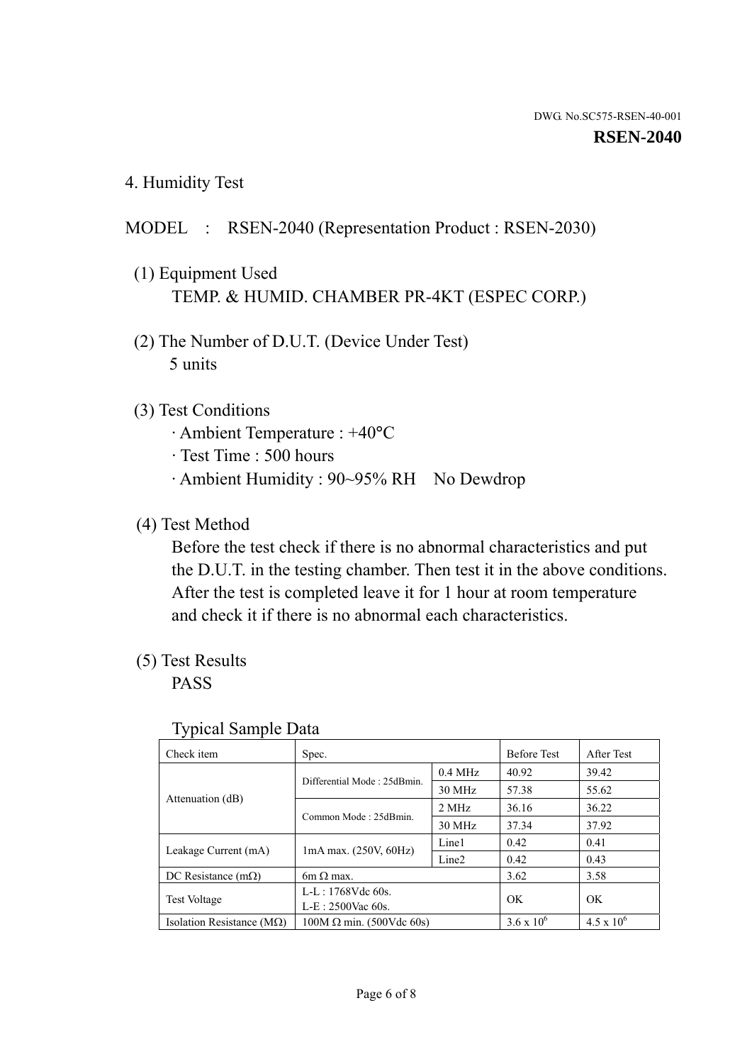4. Humidity Test

# MODEL : RSEN-2040 (Representation Product : RSEN-2030)

- (1) Equipment Used TEMP. & HUMID. CHAMBER PR-4KT (ESPEC CORP.)
- (2) The Number of D.U.T. (Device Under Test) 5 units

# (3) Test Conditions

- · Ambient Temperature : +40°C
- · Test Time : 500 hours
- · Ambient Humidity : 90~95% RH No Dewdrop

# (4) Test Method

 Before the test check if there is no abnormal characteristics and put the D.U.T. in the testing chamber. Then test it in the above conditions. After the test is completed leave it for 1 hour at room temperature and check it if there is no abnormal each characteristics.

# (5) Test Results

PASS

| . .                                |                                 |                   |                     |                     |
|------------------------------------|---------------------------------|-------------------|---------------------|---------------------|
| Check item                         | Spec.                           |                   | <b>Before Test</b>  | After Test          |
|                                    | Differential Mode: 25dBmin.     | $0.4$ MHz         | 40.92               | 39.42               |
|                                    |                                 | 30 MHz            | 57.38               | 55.62               |
| Attenuation (dB)                   | Common Mode: 25dBmin.           | 2 MHz             | 36.16               | 36.22               |
|                                    |                                 | 30 MHz            | 37.34               | 37.92               |
| Leakage Current (mA)               | $1mA$ max. $(250V, 60Hz)$       | Line1             | 0.42                | 0.41                |
|                                    |                                 | Line <sub>2</sub> | 0.42                | 0.43                |
| DC Resistance (m $\Omega$ )        | $6m \Omega$ max.                |                   | 3.62                | 3.58                |
| <b>Test Voltage</b>                | $L-L: 1768Vdc$ 60s.             |                   | OK                  | OK.                 |
|                                    | $L-E$ : 2500Vac 60s.            |                   |                     |                     |
| Isolation Resistance ( $M\Omega$ ) | $100M \Omega$ min. (500Vdc 60s) |                   | $3.6 \times 10^{6}$ | $4.5 \times 10^{6}$ |

#### Typical Sample Data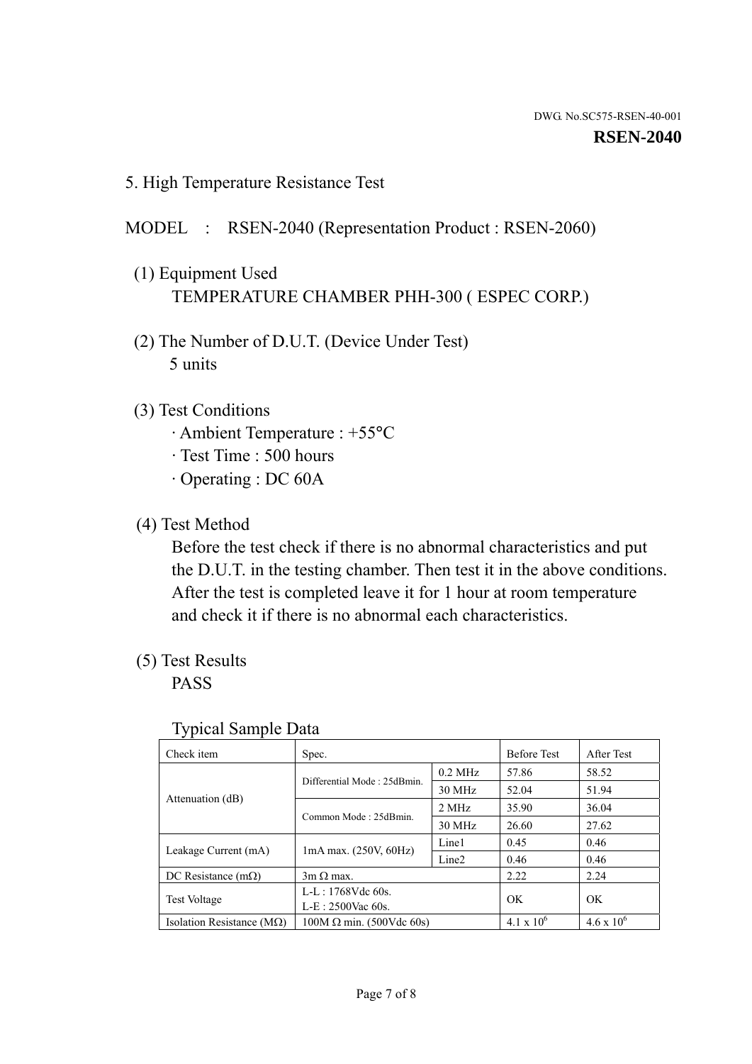5. High Temperature Resistance Test

### MODEL : RSEN-2040 (Representation Product : RSEN-2060)

- (1) Equipment Used TEMPERATURE CHAMBER PHH-300 ( ESPEC CORP.)
- (2) The Number of D.U.T. (Device Under Test) 5 units
- (3) Test Conditions
	- · Ambient Temperature : +55°C
	- · Test Time : 500 hours
	- · Operating : DC 60A
- (4) Test Method

 Before the test check if there is no abnormal characteristics and put the D.U.T. in the testing chamber. Then test it in the above conditions. After the test is completed leave it for 1 hour at room temperature and check it if there is no abnormal each characteristics.

(5) Test Results

PASS

| . .                                |                                 |                   |                     |                     |
|------------------------------------|---------------------------------|-------------------|---------------------|---------------------|
| Check item                         | Spec.                           |                   | <b>Before Test</b>  | After Test          |
|                                    | Differential Mode: 25dBmin.     | $0.2$ MHz         | 57.86               | 58.52               |
|                                    |                                 | 30 MHz            | 52.04               | 51.94               |
| Attenuation (dB)                   | Common Mode: 25dBmin.           | 2 MHz             | 35.90               | 36.04               |
|                                    |                                 | 30 MHz            | 26.60               | 27.62               |
| Leakage Current (mA)               | $1mA$ max. $(250V, 60Hz)$       | Line1             | 0.45                | 0.46                |
|                                    |                                 | Line <sub>2</sub> | 0.46                | 0.46                |
| DC Resistance $(m\Omega)$          | $3m \Omega$ max.                |                   | 2.22                | 2.24                |
| <b>Test Voltage</b>                | $L-L: 1768Vdc$ 60s.             |                   | OK                  | OK                  |
|                                    | $L-E$ : 2500Vac 60s.            |                   |                     |                     |
| Isolation Resistance ( $M\Omega$ ) | $100M \Omega$ min. (500Vdc 60s) |                   | $4.1 \times 10^{6}$ | $4.6 \times 10^{6}$ |

#### Typical Sample Data